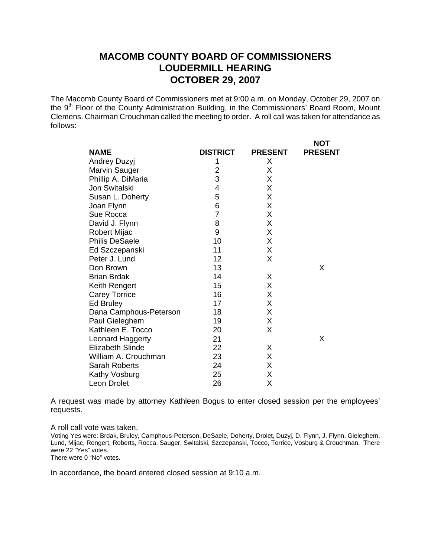## **MACOMB COUNTY BOARD OF COMMISSIONERS LOUDERMILL HEARING OCTOBER 29, 2007**

The Macomb County Board of Commissioners met at 9:00 a.m. on Monday, October 29, 2007 on the 9<sup>th</sup> Floor of the County Administration Building, in the Commissioners' Board Room, Mount Clemens. Chairman Crouchman called the meeting to order. A roll call was taken for attendance as follows:

 $\lambda$ 

|                         |                 |                | NO I           |
|-------------------------|-----------------|----------------|----------------|
| <b>NAME</b>             | <b>DISTRICT</b> | <b>PRESENT</b> | <b>PRESENT</b> |
| <b>Andrey Duzyj</b>     | 1               | X              |                |
| Marvin Sauger           | $\overline{2}$  | X              |                |
| Phillip A. DiMaria      | 3               | X              |                |
| Jon Switalski           | 4               | Χ              |                |
| Susan L. Doherty        | 5               | X              |                |
| Joan Flynn              | 6               | X              |                |
| Sue Rocca               | $\overline{7}$  | X              |                |
| David J. Flynn          | 8               | Χ              |                |
| Robert Mijac            | 9               | X              |                |
| <b>Philis DeSaele</b>   | 10              | Χ              |                |
| Ed Szczepanski          | 11              | Χ              |                |
| Peter J. Lund           | 12              | X              |                |
| Don Brown               | 13              |                | X              |
| <b>Brian Brdak</b>      | 14              | X              |                |
| Keith Rengert           | 15              | X              |                |
| <b>Carey Torrice</b>    | 16              | X              |                |
| Ed Bruley               | 17              | Χ              |                |
| Dana Camphous-Peterson  | 18              | X              |                |
| Paul Gieleghem          | 19              | X              |                |
| Kathleen E. Tocco       | 20              | X              |                |
| Leonard Haggerty        | 21              |                | X              |
| <b>Elizabeth Slinde</b> | 22              | X              |                |
| William A. Crouchman    | 23              | X              |                |
| Sarah Roberts           | 24              | X              |                |
| Kathy Vosburg           | 25              | Χ              |                |
| <b>Leon Drolet</b>      | 26              | Χ              |                |
|                         |                 |                |                |

A request was made by attorney Kathleen Bogus to enter closed session per the employees' requests.

A roll call vote was taken.

Voting Yes were: Brdak, Bruley, Camphous-Peterson, DeSaele, Doherty, Drolet, Duzyj, D. Flynn, J. Flynn, Gieleghem, Lund, Mijac, Rengert, Roberts, Rocca, Sauger, Switalski, Szczepanski, Tocco, Torrice, Vosburg & Crouchman. There were 22 "Yes" votes. There were 0 "No" votes.

In accordance, the board entered closed session at 9:10 a.m.